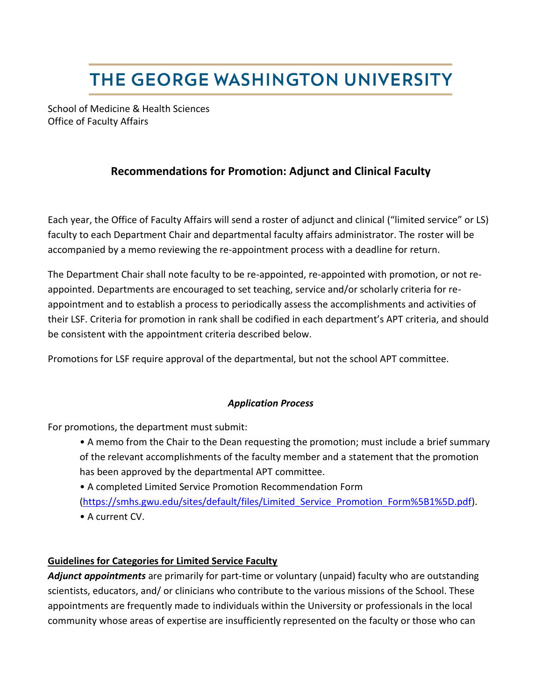# THE GEORGE WASHINGTON UNIVERSITY

School of Medicine & Health Sciences Office of Faculty Affairs

## **Recommendations for Promotion: Adjunct and Clinical Faculty**

Each year, the Office of Faculty Affairs will send a roster of adjunct and clinical ("limited service" or LS) faculty to each Department Chair and departmental faculty affairs administrator. The roster will be accompanied by a memo reviewing the re-appointment process with a deadline for return.

The Department Chair shall note faculty to be re-appointed, re-appointed with promotion, or not reappointed. Departments are encouraged to set teaching, service and/or scholarly criteria for reappointment and to establish a process to periodically assess the accomplishments and activities of their LSF. Criteria for promotion in rank shall be codified in each department's APT criteria, and should be consistent with the appointment criteria described below.

Promotions for LSF require approval of the departmental, but not the school APT committee.

### *Application Process*

For promotions, the department must submit:

- A memo from the Chair to the Dean requesting the promotion; must include a brief summary of the relevant accomplishments of the faculty member and a statement that the promotion has been approved by the departmental APT committee.
- A completed Limited Service Promotion Recommendation Form [\(https://smhs.gwu.edu/sites/default/files/Limited\\_Service\\_Promotion\\_Form%5B1%5D.pdf\)](https://smhs.gwu.edu/sites/default/files/Limited_Service_Promotion_Form%5B1%5D.pdf). • A current CV.

### **Guidelines for Categories for Limited Service Faculty**

*Adjunct appointments* are primarily for part-time or voluntary (unpaid) faculty who are outstanding scientists, educators, and/ or clinicians who contribute to the various missions of the School. These appointments are frequently made to individuals within the University or professionals in the local community whose areas of expertise are insufficiently represented on the faculty or those who can